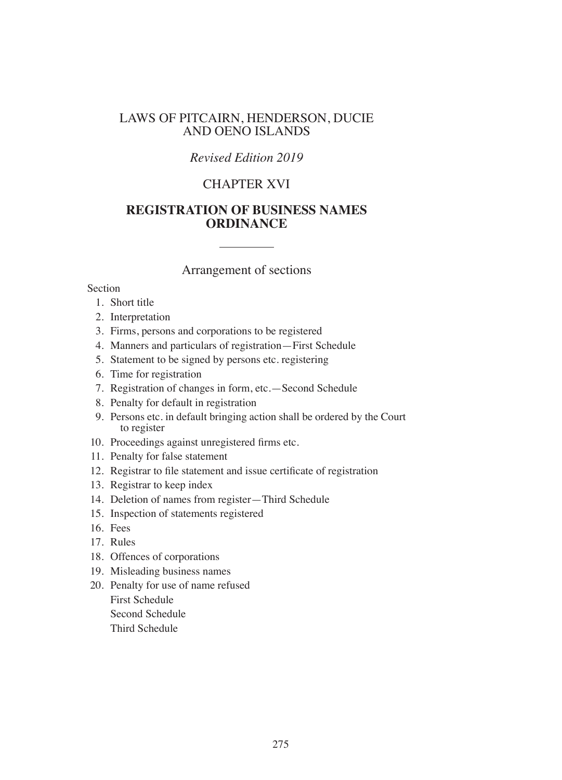### LAWS OF PITCAIRN, HENDERSON, DUCIE AND OENO ISLANDS

## *Revised Edition 2019*

# CHAPTER XVI

### **REGISTRATION OF BUSINESS NAMES ORDINANCE**

# Arrangement of sections

#### Section

- 1. Short title
- 2. Interpretation
- 3. Firms, persons and corporations to be registered
- 4. Manners and particulars of registration—First Schedule
- 5. Statement to be signed by persons etc. registering
- 6. Time for registration
- 7. Registration of changes in form, etc.—Second Schedule
- 8. Penalty for default in registration
- 9. Persons etc. in default bringing action shall be ordered by the Court to register
- 10. Proceedings against unregistered frms etc.
- 11. Penalty for false statement
- 12. Registrar to fle statement and issue certifcate of registration
- 13. Registrar to keep index
- 14. Deletion of names from register—Third Schedule
- 15. Inspection of statements registered
- 16. Fees
- 17. Rules
- 18. Offences of corporations
- 19. Misleading business names
- 20. Penalty for use of name refused
	- First Schedule
	- Second Schedule
	- Third Schedule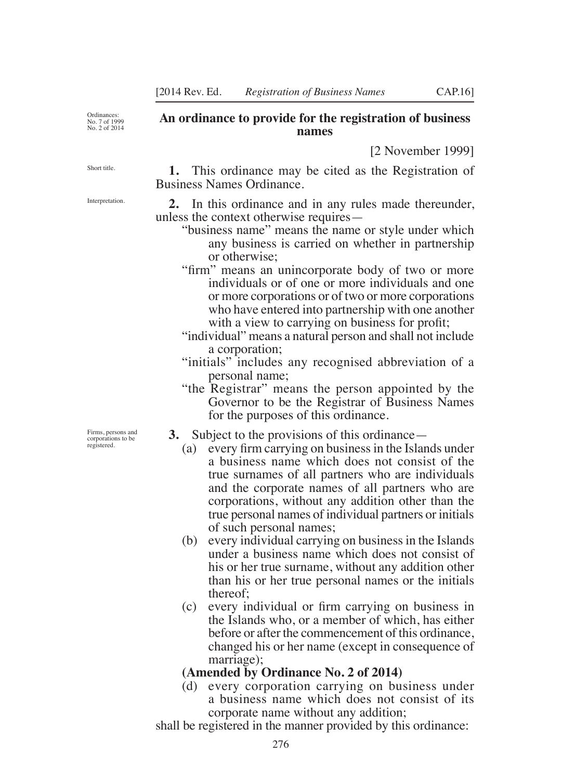Ordinances: No. 7 of 1999 No. 2 of 2014

Short title.

Interpretation.

# **An ordinance to provide for the registration of business names**

[2 November 1999]

**1.** This ordinance may be cited as the Registration of Business Names Ordinance.

**2.** In this ordinance and in any rules made thereunder, unless the context otherwise requires—

- "business name" means the name or style under which any business is carried on whether in partnership or otherwise;
- "frm" means an unincorporate body of two or more individuals or of one or more individuals and one or more corporations or of two or more corporations who have entered into partnership with one another with a view to carrying on business for profit;
- "individual" means a natural person and shall not include a corporation;
- "initials" includes any recognised abbreviation of a personal name;
- "the Registrar" means the person appointed by the Governor to be the Registrar of Business Names for the purposes of this ordinance.
- **3.** Subject to the provisions of this ordinance—
	- (a) every frm carrying on business in the Islands under a business name which does not consist of the true surnames of all partners who are individuals and the corporate names of all partners who are corporations, without any addition other than the true personal names of individual partners or initials of such personal names;
	- (b) every individual carrying on business in the Islands under a business name which does not consist of his or her true surname, without any addition other than his or her true personal names or the initials thereof;
	- (c) every individual or frm carrying on business in the Islands who, or a member of which, has either before or after the commencement of this ordinance, changed his or her name (except in consequence of marriage);

#### **(Amended by Ordinance No. 2 of 2014)**

(d) every corporation carrying on business under a business name which does not consist of its corporate name without any addition;

shall be registered in the manner provided by this ordinance:

Firms, persons and corporations to be registered.

276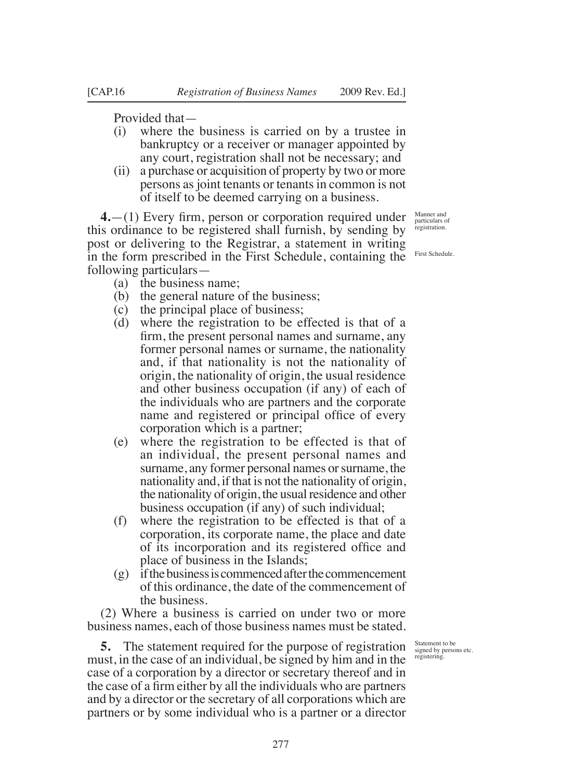Provided that—

- (i) where the business is carried on by a trustee in bankruptcy or a receiver or manager appointed by any court, registration shall not be necessary; and
- (ii) a purchase or acquisition of property by two or more persons as joint tenants or tenants in common is not of itself to be deemed carrying on a business.

**4.**—(1) Every frm, person or corporation required under this ordinance to be registered shall furnish, by sending by post or delivering to the Registrar, a statement in writing in the form prescribed in the First Schedule, containing the following particulars—

- (a) the business name;
- (b) the general nature of the business;
- (c) the principal place of business;
- (d) where the registration to be effected is that of a frm, the present personal names and surname, any former personal names or surname, the nationality and, if that nationality is not the nationality of origin, the nationality of origin, the usual residence and other business occupation (if any) of each of the individuals who are partners and the corporate name and registered or principal office of every corporation which is a partner;
- (e) where the registration to be effected is that of an individual, the present personal names and surname, any former personal names or surname, the nationality and, if that is not the nationality of origin, the nationality of origin, the usual residence and other business occupation (if any) of such individual;
- (f) where the registration to be effected is that of a corporation, its corporate name, the place and date of its incorporation and its registered offce and place of business in the Islands;
- (g) if the business is commenced after the commencement of this ordinance, the date of the commencement of the business.

(2) Where a business is carried on under two or more business names, each of those business names must be stated.

**5.** The statement required for the purpose of registration must, in the case of an individual, be signed by him and in the case of a corporation by a director or secretary thereof and in the case of a frm either by all the individuals who are partners and by a director or the secretary of all corporations which are partners or by some individual who is a partner or a director

Manner and particulars of registration.

First Schedule.

Statement to be signed by persons etc. registering.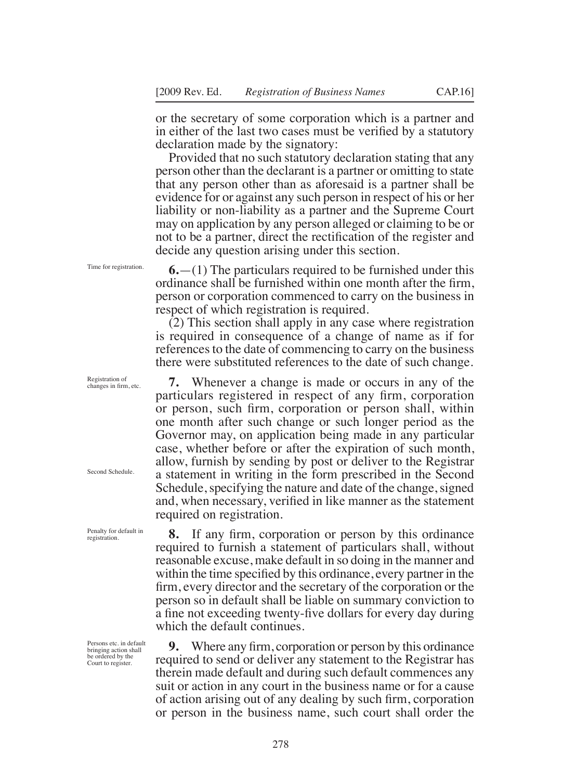or the secretary of some corporation which is a partner and in either of the last two cases must be verifed by a statutory declaration made by the signatory:

Provided that no such statutory declaration stating that any person other than the declarant is a partner or omitting to state that any person other than as aforesaid is a partner shall be evidence for or against any such person in respect of his or her liability or non-liability as a partner and the Supreme Court may on application by any person alleged or claiming to be or not to be a partner, direct the rectifcation of the register and decide any question arising under this section.

**6.**—(1) The particulars required to be furnished under this ordinance shall be furnished within one month after the frm, person or corporation commenced to carry on the business in respect of which registration is required.

(2) This section shall apply in any case where registration is required in consequence of a change of name as if for references to the date of commencing to carry on the business there were substituted references to the date of such change.

**7.** Whenever a change is made or occurs in any of the particulars registered in respect of any frm, corporation or person, such frm, corporation or person shall, within one month after such change or such longer period as the Governor may, on application being made in any particular case, whether before or after the expiration of such month, allow, furnish by sending by post or deliver to the Registrar a statement in writing in the form prescribed in the Second Schedule, specifying the nature and date of the change, signed and, when necessary, verifed in like manner as the statement required on registration.

**8.** If any frm, corporation or person by this ordinance required to furnish a statement of particulars shall, without reasonable excuse, make default in so doing in the manner and within the time specifed by this ordinance, every partner in the frm, every director and the secretary of the corporation or the person so in default shall be liable on summary conviction to a fne not exceeding twenty-fve dollars for every day during which the default continues.

**9.** Where any frm, corporation or person by this ordinance required to send or deliver any statement to the Registrar has therein made default and during such default commences any suit or action in any court in the business name or for a cause of action arising out of any dealing by such frm, corporation or person in the business name, such court shall order the

Time for registration.

Registration of changes in frm, etc.

Second Schedule.

Penalty for default in registration.

Persons etc. in default bringing action shall be ordered by the Court to register.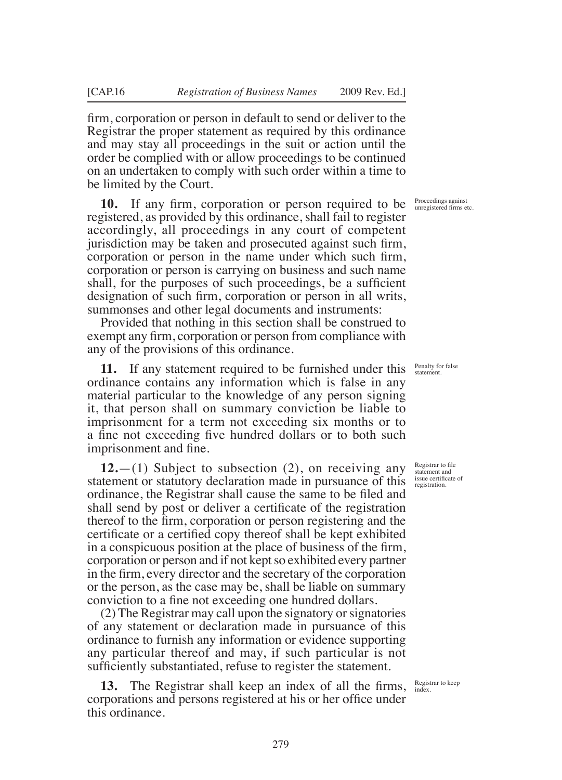frm, corporation or person in default to send or deliver to the Registrar the proper statement as required by this ordinance and may stay all proceedings in the suit or action until the order be complied with or allow proceedings to be continued on an undertaken to comply with such order within a time to be limited by the Court.

**10.** If any frm, corporation or person required to be registered, as provided by this ordinance, shall fail to register accordingly, all proceedings in any court of competent jurisdiction may be taken and prosecuted against such frm, corporation or person in the name under which such frm, corporation or person is carrying on business and such name shall, for the purposes of such proceedings, be a sufficient designation of such frm, corporation or person in all writs, summonses and other legal documents and instruments:

Provided that nothing in this section shall be construed to exempt any frm, corporation or person from compliance with any of the provisions of this ordinance.

**11.** If any statement required to be furnished under this ordinance contains any information which is false in any material particular to the knowledge of any person signing it, that person shall on summary conviction be liable to imprisonment for a term not exceeding six months or to a fne not exceeding fve hundred dollars or to both such imprisonment and fne.

**12.**—(1) Subject to subsection (2), on receiving any statement or statutory declaration made in pursuance of this ordinance, the Registrar shall cause the same to be fled and shall send by post or deliver a certifcate of the registration thereof to the frm, corporation or person registering and the certifcate or a certifed copy thereof shall be kept exhibited in a conspicuous position at the place of business of the frm, corporation or person and if not kept so exhibited every partner in the frm, every director and the secretary of the corporation or the person, as the case may be, shall be liable on summary conviction to a fne not exceeding one hundred dollars.

(2) The Registrar may call upon the signatory or signatories of any statement or declaration made in pursuance of this ordinance to furnish any information or evidence supporting any particular thereof and may, if such particular is not sufficiently substantiated, refuse to register the statement.

**13.** The Registrar shall keep an index of all the frms, corporations and persons registered at his or her office under this ordinance.

Proceedings against unregistered frms etc.

Penalty for false statement.

Registrar to fle statement and issue certifcate of registration.

Registrar to keep index.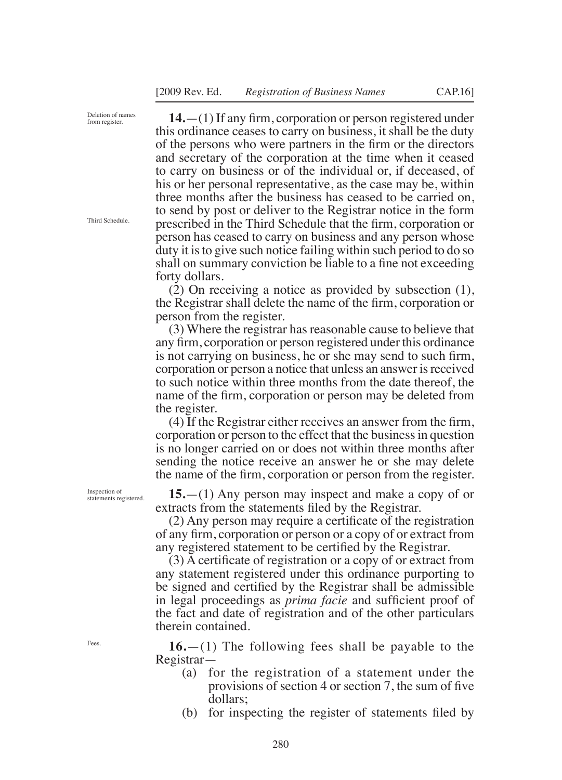Deletion of names from register.

Third Schedule.

**14.**—(1) If any frm, corporation or person registered under this ordinance ceases to carry on business, it shall be the duty of the persons who were partners in the frm or the directors and secretary of the corporation at the time when it ceased to carry on business or of the individual or, if deceased, of his or her personal representative, as the case may be, within three months after the business has ceased to be carried on, to send by post or deliver to the Registrar notice in the form prescribed in the Third Schedule that the frm, corporation or person has ceased to carry on business and any person whose duty it is to give such notice failing within such period to do so shall on summary conviction be liable to a fne not exceeding forty dollars.

(2) On receiving a notice as provided by subsection (1), the Registrar shall delete the name of the frm, corporation or person from the register.

(3) Where the registrar has reasonable cause to believe that any frm, corporation or person registered under this ordinance is not carrying on business, he or she may send to such frm, corporation or person a notice that unless an answer is received to such notice within three months from the date thereof, the name of the frm, corporation or person may be deleted from the register.

(4) If the Registrar either receives an answer from the frm, corporation or person to the effect that the business in question is no longer carried on or does not within three months after sending the notice receive an answer he or she may delete the name of the frm, corporation or person from the register.

**15.**—(1) Any person may inspect and make a copy of or extracts from the statements fled by the Registrar.

(2) Any person may require a certifcate of the registration of any frm, corporation or person or a copy of or extract from any registered statement to be certifed by the Registrar.

(3) A certifcate of registration or a copy of or extract from any statement registered under this ordinance purporting to be signed and certifed by the Registrar shall be admissible in legal proceedings as *prima facie* and suffcient proof of the fact and date of registration and of the other particulars therein contained.

**16.**—(1) The following fees shall be payable to the Registrar—

- (a) for the registration of a statement under the provisions of section 4 or section 7, the sum of fve dollars;
- (b) for inspecting the register of statements fled by

Inspection of statements registered.

Fees.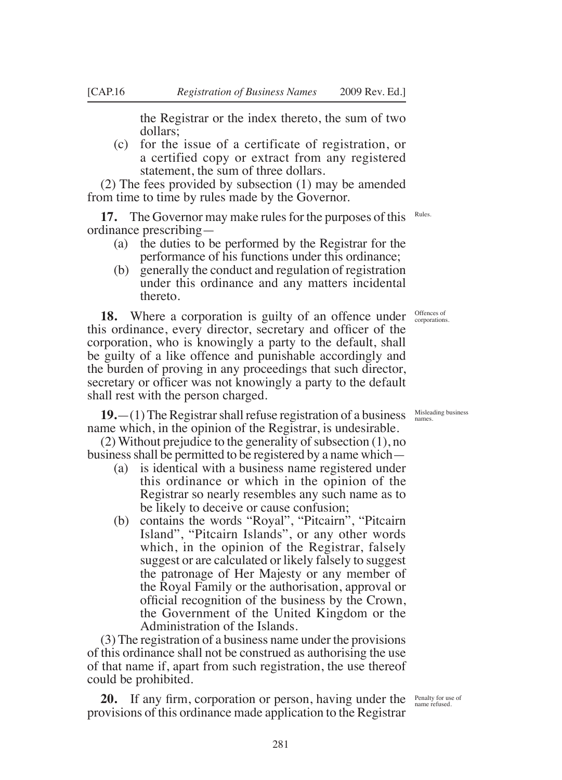the Registrar or the index thereto, the sum of two dollars;

(c) for the issue of a certificate of registration, or a certified copy or extract from any registered statement, the sum of three dollars.

(2) The fees provided by subsection (1) may be amended from time to time by rules made by the Governor.

**17.** The Governor may make rules for the purposes of this ordinance prescribing—

- (a) the duties to be performed by the Registrar for the performance of his functions under this ordinance;
- (b) generally the conduct and regulation of registration under this ordinance and any matters incidental thereto.

**18.** Where a corporation is guilty of an offence under this ordinance, every director, secretary and offcer of the corporation, who is knowingly a party to the default, shall be guilty of a like offence and punishable accordingly and the burden of proving in any proceedings that such director, secretary or officer was not knowingly a party to the default shall rest with the person charged.

**19.**—(1) The Registrar shall refuse registration of a business name which, in the opinion of the Registrar, is undesirable.

(2) Without prejudice to the generality of subsection (1), no business shall be permitted to be registered by a name which—

- (a) is identical with a business name registered under this ordinance or which in the opinion of the Registrar so nearly resembles any such name as to be likely to deceive or cause confusion;
- (b) contains the words "Royal", "Pitcairn", "Pitcairn Island", "Pitcairn Islands", or any other words which, in the opinion of the Registrar, falsely suggest or are calculated or likely falsely to suggest the patronage of Her Majesty or any member of the Royal Family or the authorisation, approval or offcial recognition of the business by the Crown, the Government of the United Kingdom or the Administration of the Islands.

(3) The registration of a business name under the provisions of this ordinance shall not be construed as authorising the use of that name if, apart from such registration, the use thereof could be prohibited.

**20.** If any firm, corporation or person, having under the Penalty for use of provisions of this ordinance made application to the Registrar

Offences of corporations.

Misleading business names.

281

Rules.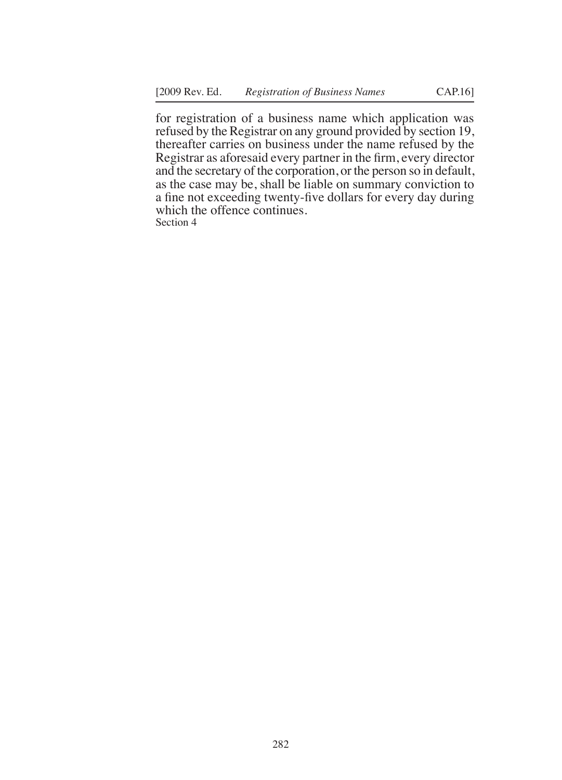for registration of a business name which application was refused by the Registrar on any ground provided by section 19, thereafter carries on business under the name refused by the Registrar as aforesaid every partner in the frm, every director and the secretary of the corporation, or the person so in default, as the case may be, shall be liable on summary conviction to a fne not exceeding twenty-fve dollars for every day during which the offence continues. Section 4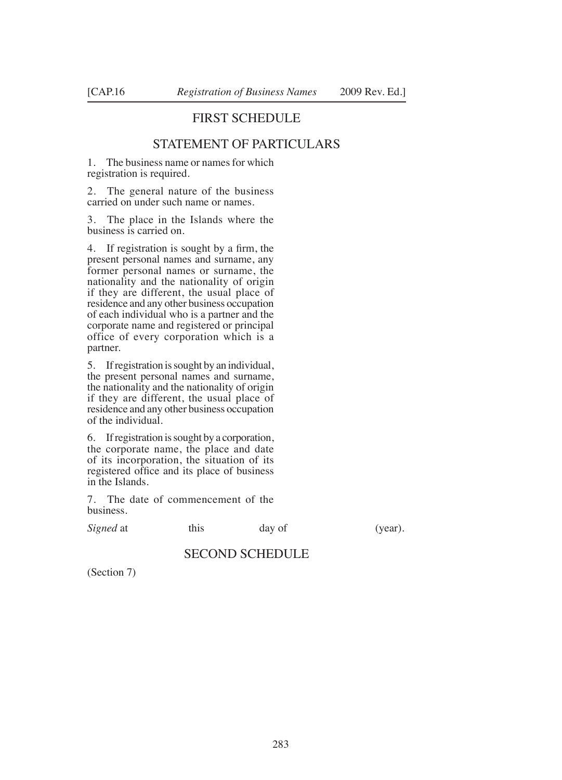#### FIRST SCHEDULE

### STATEMENT OF PARTICULARS

1. The business name or names for which registration is required.

2. The general nature of the business carried on under such name or names.

3. The place in the Islands where the business is carried on.

4. If registration is sought by a frm, the present personal names and surname, any former personal names or surname, the nationality and the nationality of origin if they are different, the usual place of residence and any other business occupation of each individual who is a partner and the corporate name and registered or principal office of every corporation which is a partner.

5. If registration is sought by an individual, the present personal names and surname, the nationality and the nationality of origin if they are different, the usual place of residence and any other business occupation of the individual.

6. If registration is sought by a corporation, the corporate name, the place and date of its incorporation, the situation of its registered office and its place of business in the Islands.

7. The date of commencement of the business.

| Signed at | this | day of | (year). |
|-----------|------|--------|---------|
|           |      |        |         |

#### SECOND SCHEDULE

(Section 7)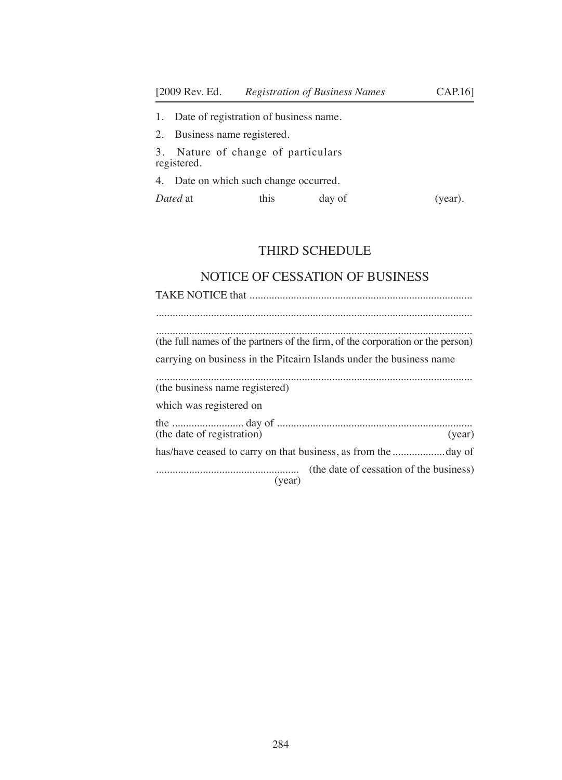- 1. Date of registration of business name.
- 2. Business name registered.
- 3. Nature of change of particulars registered.
- 4. Date on which such change occurred.

| Dated at | this | day of | $(year)$ . |
|----------|------|--------|------------|
|----------|------|--------|------------|

### THIRD SCHEDULE

#### NOTICE OF CESSATION OF BUSINESS

TAKE NOTICE that ................................................................................. ................................................................................................................... ................................................................................................................... (the full names of the partners of the frm, of the corporation or the person) carrying on business in the Pitcairn Islands under the business name ................................................................................................................... (the business name registered) which was registered on the .......................... day of ....................................................................... (the date of registration) (year) has/have ceased to carry on that business, as from the ...................day of .................................................... (the date of cessation of the business) (year)